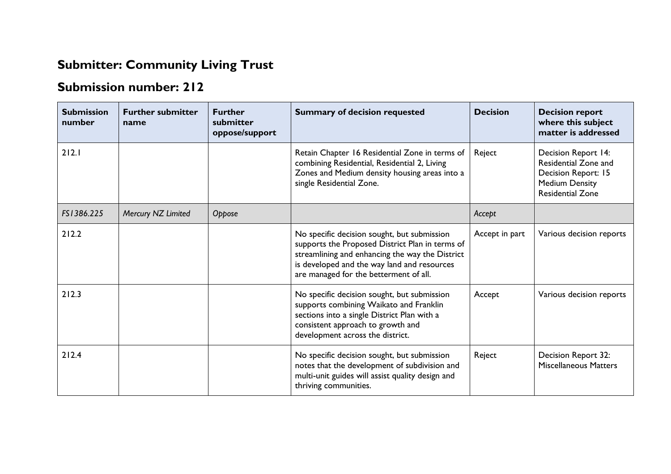## **Submitter: Community Living Trust**

## **Submission number: 212**

| <b>Submission</b><br>number | <b>Further submitter</b><br>name | <b>Further</b><br>submitter<br>oppose/support | <b>Summary of decision requested</b>                                                                                                                                                                                                       | <b>Decision</b> | <b>Decision report</b><br>where this subject<br>matter is addressed                                                           |
|-----------------------------|----------------------------------|-----------------------------------------------|--------------------------------------------------------------------------------------------------------------------------------------------------------------------------------------------------------------------------------------------|-----------------|-------------------------------------------------------------------------------------------------------------------------------|
| 212.1                       |                                  |                                               | Retain Chapter 16 Residential Zone in terms of<br>combining Residential, Residential 2, Living<br>Zones and Medium density housing areas into a<br>single Residential Zone.                                                                | Reject          | <b>Decision Report 14:</b><br>Residential Zone and<br>Decision Report: 15<br><b>Medium Density</b><br><b>Residential Zone</b> |
| FS1386.225                  | Mercury NZ Limited               | Oppose                                        |                                                                                                                                                                                                                                            | Accept          |                                                                                                                               |
| 212.2                       |                                  |                                               | No specific decision sought, but submission<br>supports the Proposed District Plan in terms of<br>streamlining and enhancing the way the District<br>is developed and the way land and resources<br>are managed for the betterment of all. | Accept in part  | Various decision reports                                                                                                      |
| 212.3                       |                                  |                                               | No specific decision sought, but submission<br>supports combining Waikato and Franklin<br>sections into a single District Plan with a<br>consistent approach to growth and<br>development across the district.                             | Accept          | Various decision reports                                                                                                      |
| 212.4                       |                                  |                                               | No specific decision sought, but submission<br>notes that the development of subdivision and<br>multi-unit guides will assist quality design and<br>thriving communities.                                                                  | Reject          | Decision Report 32:<br><b>Miscellaneous Matters</b>                                                                           |